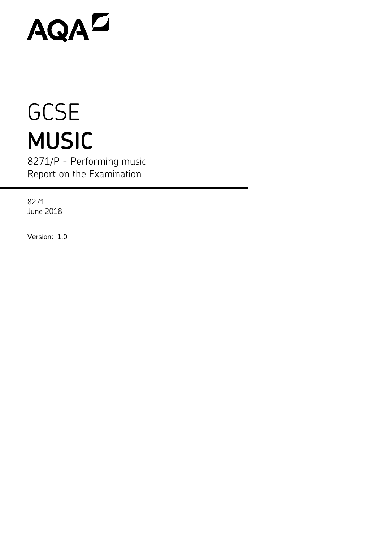# AQAD

# **GCSE MUSIC**

8271/P - Performing music Report on the Examination

8271 June 2018

Version: 1.0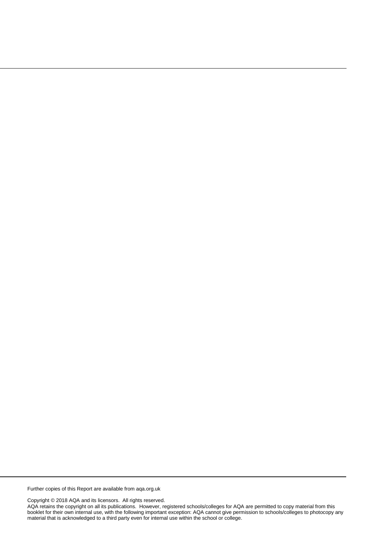Further copies of this Report are available from aqa.org.uk

Copyright © 2018 AQA and its licensors. All rights reserved.

AQA retains the copyright on all its publications. However, registered schools/colleges for AQA are permitted to copy material from this booklet for their own internal use, with the following important exception: AQA cannot give permission to schools/colleges to photocopy any material that is acknowledged to a third party even for internal use within the school or college.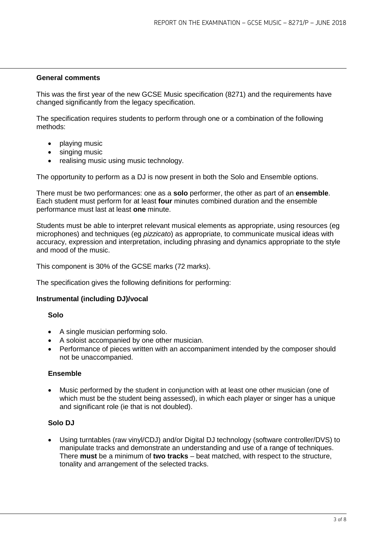#### **General comments**

This was the first year of the new GCSE Music specification (8271) and the requirements have changed significantly from the legacy specification.

The specification requires students to perform through one or a combination of the following methods:

- playing music
- singing music
- realising music using music technology.

The opportunity to perform as a DJ is now present in both the Solo and Ensemble options.

There must be two performances: one as a **solo** performer, the other as part of an **ensemble**. Each student must perform for at least **four** minutes combined duration and the ensemble performance must last at least **one** minute.

Students must be able to interpret relevant musical elements as appropriate, using resources (eg microphones) and techniques (eg *pizzicato*) as appropriate, to communicate musical ideas with accuracy, expression and interpretation, including phrasing and dynamics appropriate to the style and mood of the music.

This component is 30% of the GCSE marks (72 marks).

The specification gives the following definitions for performing:

#### **Instrumental (including DJ)/vocal**

#### **Solo**

- A single musician performing solo.
- A soloist accompanied by one other musician.
- Performance of pieces written with an accompaniment intended by the composer should not be unaccompanied.

#### **Ensemble**

• Music performed by the student in conjunction with at least one other musician (one of which must be the student being assessed), in which each player or singer has a unique and significant role (ie that is not doubled).

# **Solo DJ**

• Using turntables (raw vinyl/CDJ) and/or Digital DJ technology (software controller/DVS) to manipulate tracks and demonstrate an understanding and use of a range of techniques. There **must** be a minimum of **two tracks** – beat matched, with respect to the structure, tonality and arrangement of the selected tracks.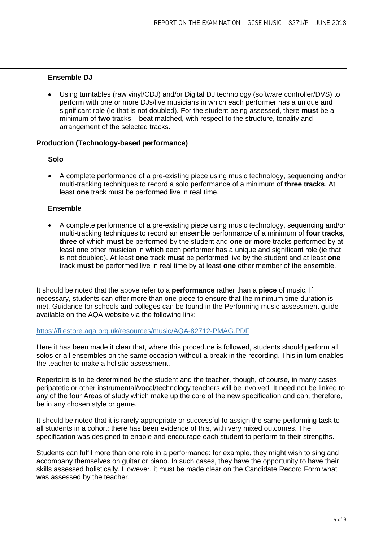# **Ensemble DJ**

• Using turntables (raw vinyl/CDJ) and/or Digital DJ technology (software controller/DVS) to perform with one or more DJs/live musicians in which each performer has a unique and significant role (ie that is not doubled). For the student being assessed, there **must** be a minimum of **two** tracks – beat matched, with respect to the structure, tonality and arrangement of the selected tracks.

## **Production (Technology-based performance)**

## **Solo**

• A complete performance of a pre-existing piece using music technology, sequencing and/or multi-tracking techniques to record a solo performance of a minimum of **three tracks**. At least **one** track must be performed live in real time.

## **Ensemble**

• A complete performance of a pre-existing piece using music technology, sequencing and/or multi-tracking techniques to record an ensemble performance of a minimum of **four tracks**, **three** of which **must** be performed by the student and **one or more** tracks performed by at least one other musician in which each performer has a unique and significant role (ie that is not doubled). At least **one** track **must** be performed live by the student and at least **one**  track **must** be performed live in real time by at least **one** other member of the ensemble.

It should be noted that the above refer to a **performance** rather than a **piece** of music. If necessary, students can offer more than one piece to ensure that the minimum time duration is met. Guidance for schools and colleges can be found in the Performing music assessment guide available on the AQA website via the following link:

#### <https://filestore.aqa.org.uk/resources/music/AQA-82712-PMAG.PDF>

Here it has been made it clear that, where this procedure is followed, students should perform all solos or all ensembles on the same occasion without a break in the recording. This in turn enables the teacher to make a holistic assessment.

Repertoire is to be determined by the student and the teacher, though, of course, in many cases, peripatetic or other instrumental/vocal/technology teachers will be involved. It need not be linked to any of the four Areas of study which make up the core of the new specification and can, therefore, be in any chosen style or genre.

It should be noted that it is rarely appropriate or successful to assign the same performing task to all students in a cohort: there has been evidence of this, with very mixed outcomes. The specification was designed to enable and encourage each student to perform to their strengths.

Students can fulfil more than one role in a performance: for example, they might wish to sing and accompany themselves on guitar or piano. In such cases, they have the opportunity to have their skills assessed holistically. However, it must be made clear on the Candidate Record Form what was assessed by the teacher.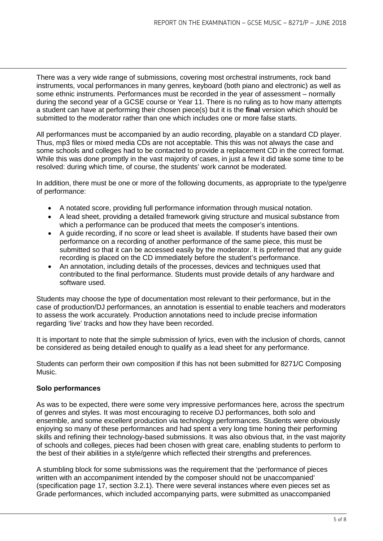There was a very wide range of submissions, covering most orchestral instruments, rock band instruments, vocal performances in many genres, keyboard (both piano and electronic) as well as some ethnic instruments. Performances must be recorded in the year of assessment – normally during the second year of a GCSE course or Year 11. There is no ruling as to how many attempts a student can have at performing their chosen piece(s) but it is the **final** version which should be submitted to the moderator rather than one which includes one or more false starts.

All performances must be accompanied by an audio recording, playable on a standard CD player. Thus, mp3 files or mixed media CDs are not acceptable. This this was not always the case and some schools and colleges had to be contacted to provide a replacement CD in the correct format. While this was done promptly in the vast majority of cases, in just a few it did take some time to be resolved: during which time, of course, the students' work cannot be moderated.

In addition, there must be one or more of the following documents, as appropriate to the type/genre of performance:

- A notated score, providing full performance information through musical notation.
- A lead sheet, providing a detailed framework giving structure and musical substance from which a performance can be produced that meets the composer's intentions.
- A guide recording, if no score or lead sheet is available. If students have based their own performance on a recording of another performance of the same piece, this must be submitted so that it can be accessed easily by the moderator. It is preferred that any guide recording is placed on the CD immediately before the student's performance.
- An annotation, including details of the processes, devices and techniques used that contributed to the final performance. Students must provide details of any hardware and software used.

Students may choose the type of documentation most relevant to their performance, but in the case of production/DJ performances, an annotation is essential to enable teachers and moderators to assess the work accurately. Production annotations need to include precise information regarding 'live' tracks and how they have been recorded.

It is important to note that the simple submission of lyrics, even with the inclusion of chords, cannot be considered as being detailed enough to qualify as a lead sheet for any performance.

Students can perform their own composition if this has not been submitted for 8271/C Composing Music.

# **Solo performances**

As was to be expected, there were some very impressive performances here, across the spectrum of genres and styles. It was most encouraging to receive DJ performances, both solo and ensemble, and some excellent production via technology performances. Students were obviously enjoying so many of these performances and had spent a very long time honing their performing skills and refining their technology-based submissions. It was also obvious that, in the vast majority of schools and colleges, pieces had been chosen with great care, enabling students to perform to the best of their abilities in a style/genre which reflected their strengths and preferences.

A stumbling block for some submissions was the requirement that the 'performance of pieces written with an accompaniment intended by the composer should not be unaccompanied' (specification page 17, section 3.2.1). There were several instances where even pieces set as Grade performances, which included accompanying parts, were submitted as unaccompanied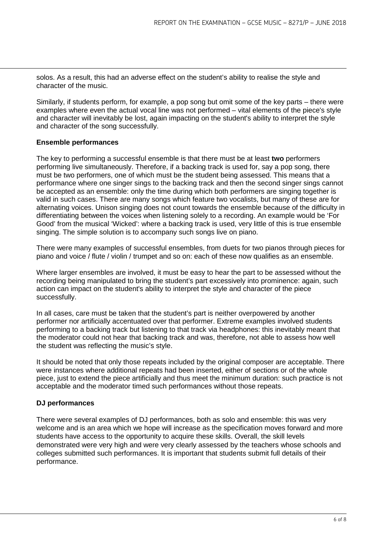solos. As a result, this had an adverse effect on the student's ability to realise the style and character of the music.

Similarly, if students perform, for example, a pop song but omit some of the key parts – there were examples where even the actual vocal line was not performed – vital elements of the piece's style and character will inevitably be lost, again impacting on the student's ability to interpret the style and character of the song successfully.

## **Ensemble performances**

The key to performing a successful ensemble is that there must be at least **two** performers performing live simultaneously. Therefore, if a backing track is used for, say a pop song, there must be two performers, one of which must be the student being assessed. This means that a performance where one singer sings to the backing track and then the second singer sings cannot be accepted as an ensemble: only the time during which both performers are singing together is valid in such cases. There are many songs which feature two vocalists, but many of these are for alternating voices. Unison singing does not count towards the ensemble because of the difficulty in differentiating between the voices when listening solely to a recording. An example would be 'For Good' from the musical 'Wicked': where a backing track is used, very little of this is true ensemble singing. The simple solution is to accompany such songs live on piano.

There were many examples of successful ensembles, from duets for two pianos through pieces for piano and voice / flute / violin / trumpet and so on: each of these now qualifies as an ensemble.

Where larger ensembles are involved, it must be easy to hear the part to be assessed without the recording being manipulated to bring the student's part excessively into prominence: again, such action can impact on the student's ability to interpret the style and character of the piece successfully.

In all cases, care must be taken that the student's part is neither overpowered by another performer nor artificially accentuated over that performer. Extreme examples involved students performing to a backing track but listening to that track via headphones: this inevitably meant that the moderator could not hear that backing track and was, therefore, not able to assess how well the student was reflecting the music's style.

It should be noted that only those repeats included by the original composer are acceptable. There were instances where additional repeats had been inserted, either of sections or of the whole piece, just to extend the piece artificially and thus meet the minimum duration: such practice is not acceptable and the moderator timed such performances without those repeats.

# **DJ performances**

There were several examples of DJ performances, both as solo and ensemble: this was very welcome and is an area which we hope will increase as the specification moves forward and more students have access to the opportunity to acquire these skills. Overall, the skill levels demonstrated were very high and were very clearly assessed by the teachers whose schools and colleges submitted such performances. It is important that students submit full details of their performance.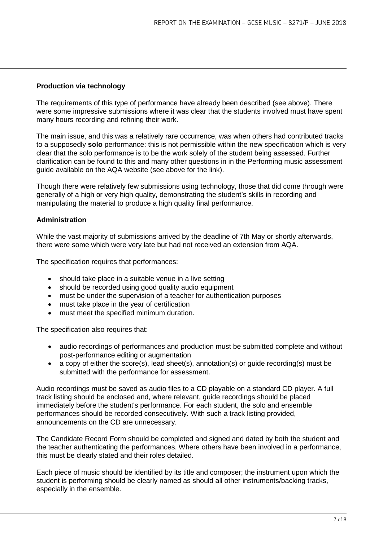# **Production via technology**

The requirements of this type of performance have already been described (see above). There were some impressive submissions where it was clear that the students involved must have spent many hours recording and refining their work.

The main issue, and this was a relatively rare occurrence, was when others had contributed tracks to a supposedly **solo** performance: this is not permissible within the new specification which is very clear that the solo performance is to be the work solely of the student being assessed. Further clarification can be found to this and many other questions in in the Performing music assessment guide available on the AQA website (see above for the link).

Though there were relatively few submissions using technology, those that did come through were generally of a high or very high quality, demonstrating the student's skills in recording and manipulating the material to produce a high quality final performance.

#### **Administration**

While the vast majority of submissions arrived by the deadline of 7th May or shortly afterwards, there were some which were very late but had not received an extension from AQA.

The specification requires that performances:

- should take place in a suitable venue in a live setting
- should be recorded using good quality audio equipment
- must be under the supervision of a teacher for authentication purposes
- must take place in the year of certification
- must meet the specified minimum duration.

The specification also requires that:

- audio recordings of performances and production must be submitted complete and without post-performance editing or augmentation
- a copy of either the score(s), lead sheet(s), annotation(s) or quide recording(s) must be submitted with the performance for assessment.

Audio recordings must be saved as audio files to a CD playable on a standard CD player. A full track listing should be enclosed and, where relevant, guide recordings should be placed immediately before the student's performance. For each student, the solo and ensemble performances should be recorded consecutively. With such a track listing provided, announcements on the CD are unnecessary.

The Candidate Record Form should be completed and signed and dated by both the student and the teacher authenticating the performances. Where others have been involved in a performance, this must be clearly stated and their roles detailed.

Each piece of music should be identified by its title and composer; the instrument upon which the student is performing should be clearly named as should all other instruments/backing tracks, especially in the ensemble.